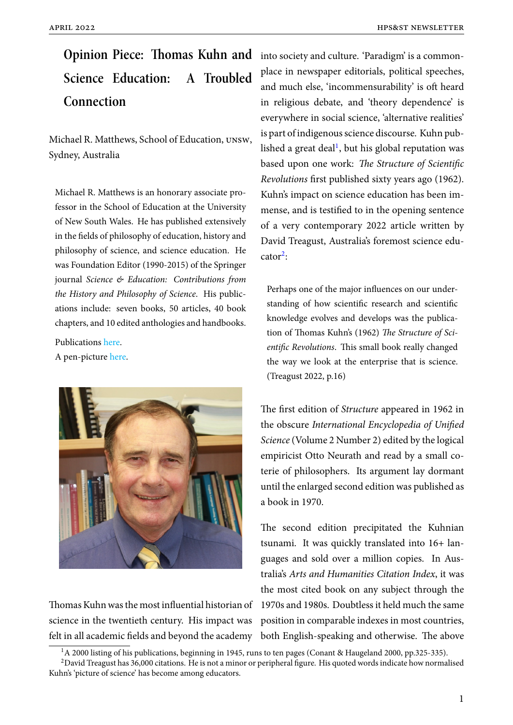# **Opinion Piece: Thomas Kuhn and** into society and culture. 'Paradigm' is a common-**Science Education: A Troubled Connection**

Michael R. Matthews, School of Education, unsw, Sydney, Australia

Michael R. Matthews is an honorary associate professor in the School of Education at the University of New South Wales. He has published extensively in the fields of philosophy of education, history and philosophy of science, and science education. He was Foundation Editor (1990-2015) of the Springer journal *Science & Education: Contributions from the History and Philosophy of Science*. His publications include: seven books, 50 articles, 40 book chapters, and 10 edited anthologies and handbooks.

Publications here. A pen-picture here.



Thomas Kuhn was the most influential historian of science in the twentieth century. His impact was felt in all academic fields and beyond the academy both English-speaking and otherwise. The above

place in newspaper editorials, political speeches, and much else, 'incommensurability' is oft heard in religious debate, and 'theory dependence' is everywhere in social science, 'alternative realities' is part of indigenous science discourse. Kuhn published a great deal<sup>1</sup>, but his global reputation was based upon one work: *The Structure of Scientific Revolutions* first published sixty years ago (1962). Kuhn's impact on science education has been immense, and is testified to in the opening sentence of a very contemporary 2022 article written by David Treagust, Australia's foremost science edu- $\text{cator}^2$ :

Perhaps one of the major influences on our understanding of how scientific research and scientific knowledge evolves and develops was the publication of Thomas Kuhn's (1962) *The Structure of Scientific Revolutions*. This small book really changed the way we look at the enterprise that is science. (Treagust 2022, p.16)

The first edition of *Structure* appeared in 1962 in the obscure *International Encyclopedia of Unified Science* (Volume 2 Number 2) edited by the logical empiricist Otto Neurath and read by a small coterie of philosophers. Its argument lay dormant until the enlarged second edition was published as a book in 1970.

The second edition precipitated the Kuhnian tsunami. It was quickly translated into 16+ languages and sold over a million copies. In Australia's *Arts and Humanities Citation Index*, it was the most cited book on any subject through the 1970s and 1980s. Doubtless it held much the same position in comparable indexes in most countries,

<sup>&</sup>lt;sup>1</sup>A 2000 listing of his publications, beginning in 1945, runs to ten pages (Conant & Haugeland 2000, pp.325-335).

 $2$ David Treagust has 36,000 citations. He is not a minor or peripheral figure. His quoted words indicate how normalised Kuhn's 'picture of science' has become among educators.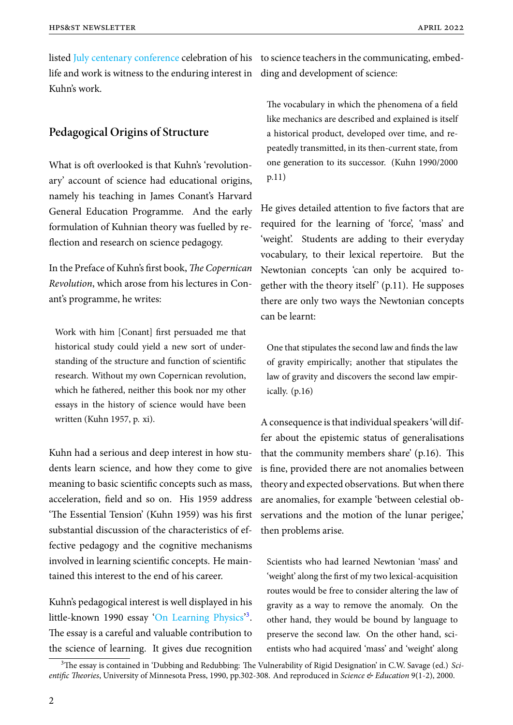listed July centenary conference celebration of his to science teachers in the communicating, embedlife and work is witness to the enduring interest in ding and development of science: Kuhn's work.

### **Pedagogical Origins of Structure**

What is oft overlooked is that Kuhn's 'revolutionary' account of science had educational origins, namely his teaching in James Conant's Harvard General Education Programme. And the early formulation of Kuhnian theory was fuelled by reflection and research on science pedagogy.

In the Preface of Kuhn's first book, *The Copernican Revolution*, which arose from his lectures in Conant's programme, he writes:

Work with him [Conant] first persuaded me that historical study could yield a new sort of understanding of the structure and function of scientific research. Without my own Copernican revolution, which he fathered, neither this book nor my other essays in the history of science would have been written (Kuhn 1957, p. xi).

Kuhn had a serious and deep interest in how students learn science, and how they come to give meaning to basic scientific concepts such as mass, acceleration, field and so on. His 1959 address 'The Essential Tension' (Kuhn 1959) was his first substantial discussion of the characteristics of effective pedagogy and the cognitive mechanisms involved in learning scientific concepts. He maintained this interest to the end of his career.

Kuhn's pedagogical interest is well displayed in his little-known 1990 essay 'On Learning Physics'<sup>3</sup>. The essay is a careful and valuable contribution to the science of learning. It gives due recognition

The vocabulary in which the phenomena of a field like mechanics are described and explained is itself a historical product, developed over time, and repeatedly transmitted, in its then-current state, from one generation to its successor. (Kuhn 1990/2000 p.11)

He gives detailed attention to five factors that are required for the learning of 'force', 'mass' and 'weight'. Students are adding to their everyday vocabulary, to their lexical repertoire. But the Newtonian concepts 'can only be acquired together with the theory itself'  $(p.11)$ . He supposes there are only two ways the Newtonian concepts can be learnt:

One that stipulates the second law and finds the law of gravity empirically; another that stipulates the law of gravity and discovers the second law empirically. (p.16)

A consequence is that individual speakers 'will differ about the epistemic status of generalisations that the community members share' (p.16). This is fine, provided there are not anomalies between theory and expected observations. But when there are anomalies, for example 'between celestial observations and the motion of the lunar perigee,' then problems arise.

Scientists who had learned Newtonian 'mass' and 'weight' along the first of my two lexical-acquisition routes would be free to consider altering the law of gravity as a way to remove the anomaly. On the other hand, they would be bound by language to preserve the second law. On the other hand, scientists who had acquired 'mass' and 'weight' along

<sup>3</sup>The essay is contained in'[Dubbing and Redubbing: Th](https://link.springer.com/article/10.1023/A:1008626101432)e Vulnerability of Rigid Designation' in C.W. Savage (ed.) *Scientific Theories*, University of Minnesota Press, 1990, pp.302-308. And reproduced in *Science & Education* 9(1-2), 2000.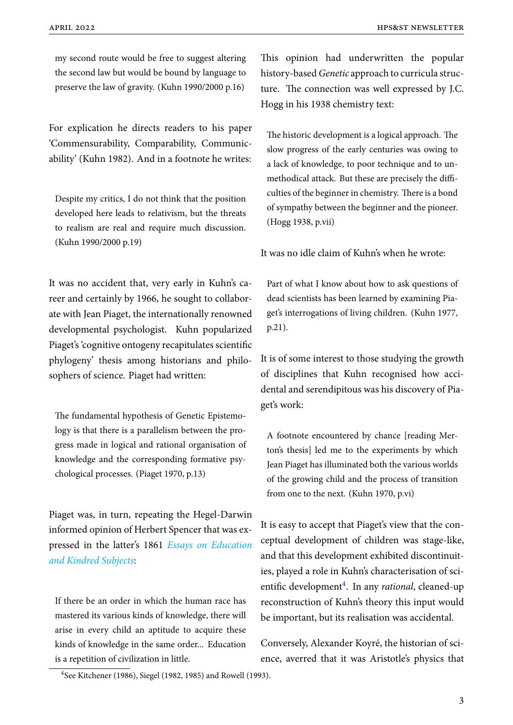my second route would be free to suggest altering the second law but would be bound by language to preserve the law of gravity. (Kuhn 1990/2000 p.16)

For explication he directs readers to his paper 'Commensurability, Comparability, Communicability' (Kuhn 1982). And in a footnote he writes:

Despite my critics, I do not think that the position developed here leads to relativism, but the threats to realism are real and require much discussion. (Kuhn 1990/2000 p.19)

It was no accident that, very early in Kuhn's career and certainly by 1966, he sought to collaborate with Jean Piaget, the internationally renowned developmental psychologist. Kuhn popularized Piaget's 'cognitive ontogeny recapitulates scientific phylogeny' thesis among historians and philosophers of science. Piaget had written:

The fundamental hypothesis of Genetic Epistemology is that there is a parallelism between the progress made in logical and rational organisation of knowledge and the corresponding formative psychological processes. (Piaget 1970, p.13)

Piaget was, in turn, repeating the Hegel-Darwin informed opinion of Herbert Spencer that was expressed in the latter's 1861 *Essays on Education and Kindred Subjects*:

[If there be an order](https://oll.libertyfund.org/title/eliot-essays-on-education-and-kindred-subjects-1861-1911) in which the human race has mastered its various kinds of knowledge, there will arise in every child an aptitude to acquire these kinds of knowledge in the same order... Education is a repetition of civilization in little.

This opinion had underwritten the popular history-based*Genetic* approach to curricula structure. The connection was well expressed by J.C. Hogg in his 1938 chemistry text:

The historic development is a logical approach. The slow progress of the early centuries was owing to a lack of knowledge, to poor technique and to unmethodical attack. But these are precisely the difficulties of the beginner in chemistry. There is a bond of sympathy between the beginner and the pioneer. (Hogg 1938, p.vii)

It was no idle claim of Kuhn's when he wrote:

Part of what I know about how to ask questions of dead scientists has been learned by examining Piaget's interrogations of living children. (Kuhn 1977, p.21).

It is of some interest to those studying the growth of disciplines that Kuhn recognised how accidental and serendipitous was his discovery of Piaget's work:

A footnote encountered by chance [reading Merton's thesis] led me to the experiments by which Jean Piaget has illuminated both the various worlds of the growing child and the process of transition from one to the next. (Kuhn 1970, p.vi)

It is easy to accept that Piaget's view that the conceptual development of children was stage-like, and that this development exhibited discontinuities, played a role in Kuhn's characterisation of scientific development<sup>4</sup>. In any *rational*, cleaned-up reconstruction of Kuhn's theory this input would be important, but its realisation was accidental.

Conversely, Alexander Koyré, the historian of science, averred that it was Aristotle's physics that

<sup>4</sup> See Kitchener (1986), Siegel (1982, 1985) and Rowell (1993).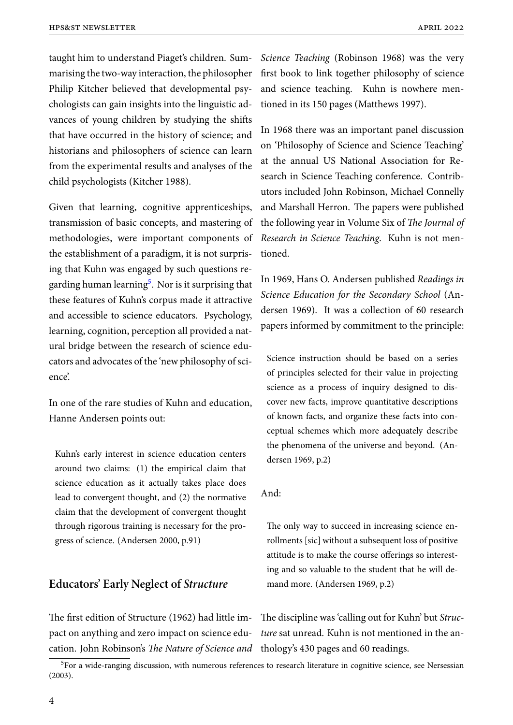taught him to understand Piaget's children. Summarising the two-way interaction, the philosopher Philip Kitcher believed that developmental psychologists can gain insights into the linguistic advances of young children by studying the shifts that have occurred in the history of science; and historians and philosophers of science can learn from the experimental results and analyses of the child psychologists (Kitcher 1988).

Given that learning, cognitive apprenticeships, transmission of basic concepts, and mastering of methodologies, were important components of the establishment of a paradigm, it is not surprising that Kuhn was engaged by such questions regarding human learning<sup>5</sup>. Nor is it surprising that these features of Kuhn's corpus made it attractive and accessible to science educators. Psychology, learning, cognition, perception all provided a natural bridge between the research of science educators and advocates of the 'new philosophy of science'.

In one of the rare studies of Kuhn and education, Hanne Andersen points out:

Kuhn's early interest in science education centers around two claims: (1) the empirical claim that science education as it actually takes place does lead to convergent thought, and (2) the normative claim that the development of convergent thought through rigorous training is necessary for the progress of science. (Andersen 2000, p.91)

## **Educators' Early Neglect of** *Structure*

The first edition of Structure (1962) had little im-The discipline was 'calling out for Kuhn' but *Struc*pact on anything and zero impact on science edu-*ture* sat unread. Kuhn is not mentioned in the ancation. John Robinson's *The Nature of Science and* thology's 430 pages and 60 readings.

*Science Teaching* (Robinson 1968) was the very first book to link together philosophy of science and science teaching. Kuhn is nowhere mentioned in its 150 pages (Matthews 1997).

In 1968 there was an important panel discussion on 'Philosophy of Science and Science Teaching' at the annual US National Association for Research in Science Teaching conference. Contributors included John Robinson, Michael Connelly and Marshall Herron. The papers were published the following year in Volume Six of *The Journal of Research in Science Teaching*. Kuhn is not mentioned.

In 1969, Hans O. Andersen published *Readings in Science Education for the Secondary School* (Andersen 1969). It was a collection of 60 research papers informed by commitment to the principle:

Science instruction should be based on a series of principles selected for their value in projecting science as a process of inquiry designed to discover new facts, improve quantitative descriptions of known facts, and organize these facts into conceptual schemes which more adequately describe the phenomena of the universe and beyond. (Andersen 1969, p.2)

#### And:

The only way to succeed in increasing science enrollments [sic] without a subsequent loss of positive attitude is to make the course offerings so interesting and so valuable to the student that he will demand more. (Andersen 1969, p.2)

<sup>&</sup>lt;sup>5</sup>For a wide-ranging discussion, with numerous references to research literature in cognitive science, see Nersessian (2003).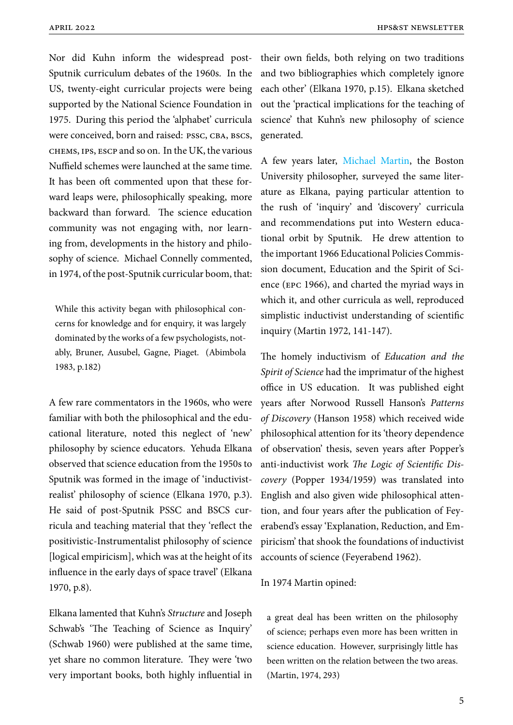Nor did Kuhn inform the widespread post-their own fields, both relying on two traditions Sputnik curriculum debates of the 1960s. In the US, twenty-eight curricular projects were being supported by the National Science Foundation in 1975. During this period the 'alphabet' curricula were conceived, born and raised: PSSC, CBA, BSCS, chems, ips, escp and so on. In the UK, the various Nuffield schemes were launched at the same time. It has been oft commented upon that these forward leaps were, philosophically speaking, more backward than forward. The science education community was not engaging with, nor learning from, developments in the history and philosophy of science. Michael Connelly commented, in 1974, of the post-Sputnik curricular boom, that:

While this activity began with philosophical concerns for knowledge and for enquiry, it was largely dominated by the works of a few psychologists, notably, Bruner, Ausubel, Gagne, Piaget. (Abimbola 1983, p.182)

A few rare commentators in the 1960s, who were familiar with both the philosophical and the educational literature, noted this neglect of 'new' philosophy by science educators. Yehuda Elkana observed that science education from the 1950s to Sputnik was formed in the image of 'inductivistrealist' philosophy of science (Elkana 1970, p.3). He said of post-Sputnik PSSC and BSCS curricula and teaching material that they 'reflect the positivistic-Instrumentalist philosophy of science [logical empiricism], which was at the height of its influence in the early days of space travel' (Elkana 1970, p.8).

Elkana lamented that Kuhn's *Structure* and Joseph Schwab's 'The Teaching of Science as Inquiry' (Schwab 1960) were published at the same time, yet share no common literature. They were 'two very important books, both highly influential in and two bibliographies which completely ignore each other' (Elkana 1970, p.15). Elkana sketched out the 'practical implications for the teaching of science' that Kuhn's new philosophy of science generated.

A few years later, Michael Martin, the Boston University philosopher, surveyed the same literature as Elkana, paying particular attention to the rush of 'inqui[ry' and 'discove](https://www.hpsst.com/uploads/6/2/9/3/62931075/martin__obituary_.pdf)ry' curricula and recommendations put into Western educational orbit by Sputnik. He drew attention to the important 1966 Educational Policies Commission document, Education and the Spirit of Science (epc 1966), and charted the myriad ways in which it, and other curricula as well, reproduced simplistic inductivist understanding of scientific inquiry (Martin 1972, 141-147).

The homely inductivism of *Education and the Spirit of Science* had the imprimatur of the highest office in US education. It was published eight years after Norwood Russell Hanson's *Patterns of Discovery* (Hanson 1958) which received wide philosophical attention for its 'theory dependence of observation' thesis, seven years after Popper's anti-inductivist work *The Logic of Scientific Discovery* (Popper 1934/1959) was translated into English and also given wide philosophical attention, and four years after the publication of Feyerabend's essay 'Explanation, Reduction, and Empiricism' that shook the foundations of inductivist accounts of science (Feyerabend 1962).

#### In 1974 Martin opined:

a great deal has been written on the philosophy of science; perhaps even more has been written in science education. However, surprisingly little has been written on the relation between the two areas. (Martin, 1974, 293)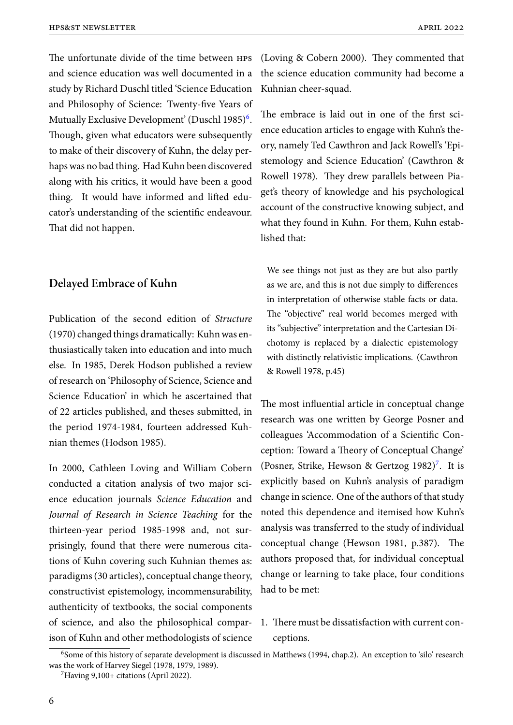The unfortunate divide of the time between hps and science education was well documented in a study by Richard Duschl titled 'Science Education and Philosophy of Science: Twenty-five Years of Mutually Exclusive Development' (Duschl 1985)<sup>6</sup>. Though, given what educators were subsequently to make of their discovery of Kuhn, the delay perhaps was no bad thing. Had Kuhn been discovered along with his critics, it would have been a good thing. It would have informed and lifted educator's understanding of the scientific endeavour. That did not happen.

### **Delayed Embrace of Kuhn**

Publication of the second edition of *Structure* (1970) changed things dramatically: Kuhn was enthusiastically taken into education and into much else. In 1985, Derek Hodson published a review of research on 'Philosophy of Science, Science and Science Education' in which he ascertained that of 22 articles published, and theses submitted, in the period 1974-1984, fourteen addressed Kuhnian themes (Hodson 1985).

In 2000, Cathleen Loving and William Cobern conducted a citation analysis of two major science education journals *Science Education* and *Journal of Research in Science Teaching* for the thirteen-year period 1985-1998 and, not surprisingly, found that there were numerous citations of Kuhn covering such Kuhnian themes as: paradigms (30 articles), conceptual change theory, constructivist epistemology, incommensurability, authenticity of textbooks, the social components of science, and also the philosophical comparison of Kuhn and other methodologists of science (Loving & Cobern 2000). They commented that the science education community had become a Kuhnian cheer-squad.

The embrace is laid out in one of the first science education articles to engage with Kuhn's theory, namely Ted Cawthron and Jack Rowell's 'Epistemology and Science Education' (Cawthron & Rowell 1978). They drew parallels between Piaget's theory of knowledge and his psychological account of the constructive knowing subject, and what they found in Kuhn. For them, Kuhn established that:

We see things not just as they are but also partly as we are, and this is not due simply to differences in interpretation of otherwise stable facts or data. The "objective" real world becomes merged with its "subjective" interpretation and the Cartesian Dichotomy is replaced by a dialectic epistemology with distinctly relativistic implications. (Cawthron & Rowell 1978, p.45)

The most influential article in conceptual change research was one written by George Posner and colleagues 'Accommodation of a Scientific Conception: Toward a Theory of Conceptual Change' (Posner, Strike, Hewson & Gertzog 1982)<sup>7</sup>. It is explicitly based on Kuhn's analysis of paradigm change in science. One of the authors of that study noted this dependence and itemised how Kuhn's analysis was transferred to the study of individual conceptual change (Hewson 1981, p.387). The authors proposed that, for individual conceptual change or learning to take place, four conditions had to be met:

## 1. There must be dissatisfaction with current conceptions.

<sup>&</sup>lt;sup>6</sup>Some of this history of separate development is discussed in Matthews (1994, chap.2). An exception to 'silo' research was the work of Harvey Siegel (1978, 1979, 1989).

<sup>7</sup>Having 9,100+ citations (April 2022).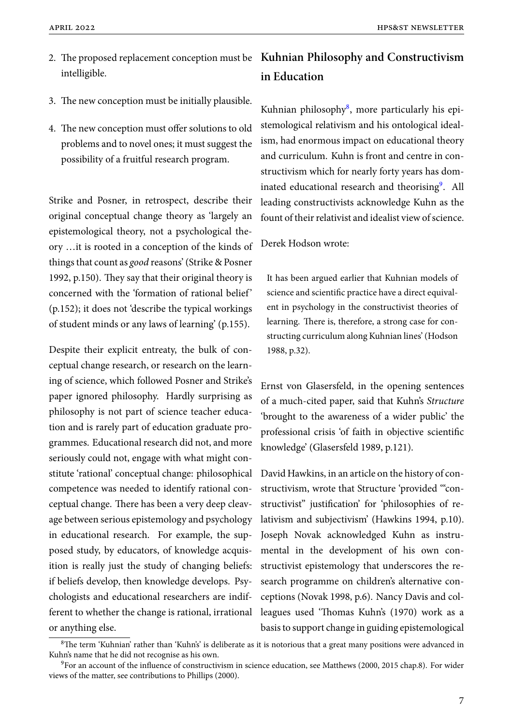- intelligible.
- 3. The new conception must be initially plausible.
- 4. The new conception must offer solutions to old problems and to novel ones; it must suggest the possibility of a fruitful research program.

Strike and Posner, in retrospect, describe their original conceptual change theory as 'largely an epistemological theory, not a psychological theory …it is rooted in a conception of the kinds of things that count as *good* reasons' (Strike & Posner 1992, p.150). They say that their original theory is concerned with the 'formation of rational belief' (p.152); it does not 'describe the typical workings of student minds or any laws of learning' (p.155).

Despite their explicit entreaty, the bulk of conceptual change research, or research on the learning of science, which followed Posner and Strike's paper ignored philosophy. Hardly surprising as philosophy is not part of science teacher education and is rarely part of education graduate programmes. Educational research did not, and more seriously could not, engage with what might constitute 'rational' conceptual change: philosophical competence was needed to identify rational conceptual change. There has been a very deep cleavage between serious epistemology and psychology in educational research. For example, the supposed study, by educators, of knowledge acquisition is really just the study of changing beliefs: if beliefs develop, then knowledge develops. Psychologists and educational researchers are indifferent to whether the change is rational, irrational or anything else.

# 2. The proposed replacement conception must be **Kuhnian Philosophy and Constructivism in Education**

Kuhnian philosophy<sup>8</sup>, more particularly his epistemological relativism and his ontological idealism, had enormous impact on educational theory and curriculum. Kuhn is front and centre in constructivism which for nearly forty years has dominated educational research and theorising<sup>9</sup>. All leading constructivists acknowledge Kuhn as the fount of their relativist and idealist view of science.

Derek Hodson wrote:

It has been argued earlier that Kuhnian models of science and scientific practice have a direct equivalent in psychology in the constructivist theories of learning. There is, therefore, a strong case for constructing curriculum along Kuhnian lines' (Hodson 1988, p.32).

Ernst von Glasersfeld, in the opening sentences of a much-cited paper, said that Kuhn's *Structure* 'brought to the awareness of a wider public' the professional crisis 'of faith in objective scientific knowledge' (Glasersfeld 1989, p.121).

David Hawkins, in an article on the history of constructivism, wrote that Structure 'provided '"constructivist" justification' for 'philosophies of relativism and subjectivism' (Hawkins 1994, p.10). Joseph Novak acknowledged Kuhn as instrumental in the development of his own constructivist epistemology that underscores the research programme on children's alternative conceptions (Novak 1998, p.6). Nancy Davis and colleagues used 'Thomas Kuhn's (1970) work as a basis to support change in guiding epistemological

<sup>&</sup>lt;sup>8</sup>The term 'Kuhnian' rather than 'Kuhn's' is deliberate as it is notorious that a great many positions were advanced in Kuhn's name that he did not recognise as his own.

 $9$ For an account of the influence of constructivism in science education, see Matthews (2000, 2015 chap.8). For wider views of the matter, see contributions to Phillips (2000).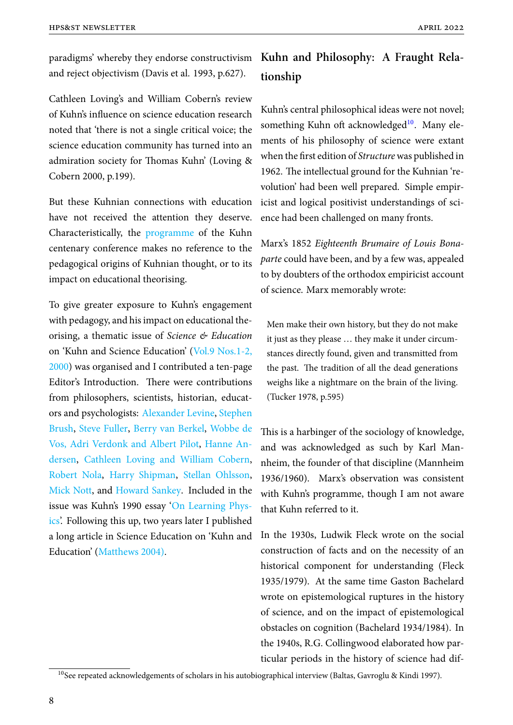and reject objectivism (Davis et al. 1993, p.627).

Cathleen Loving's and William Cobern's review of Kuhn's influence on science education research noted that 'there is not a single critical voice; the science education community has turned into an admiration society for Thomas Kuhn' (Loving & Cobern 2000, p.199).

But these Kuhnian connections with education have not received the attention they deserve. Characteristically, the programme of the Kuhn centenary conference makes no reference to the pedagogical origins of Kuhnian thought, or to its impact on educational [theorising.](https://www.shanyafeng.com/uploads/1/1/9/8/119820571/programme__kuhn100_.pdf)

To give greater exposure to Kuhn's engagement with pedagogy, and his impact on educational theorising, a thematic issue of *Science & Education* on 'Kuhn and Science Education' (Vol.9 Nos.1-2, 2000) was organised and I contributed a ten-page Editor's Introduction. There were contributions from philosophers, scientists, hist[orian, educat](https://link.springer.com/journal/11191/volumes-and-issues/9-1)[ors an](https://link.springer.com/journal/11191/volumes-and-issues/9-1)d psychologists: Alexander Levine, Stephen Brush, Steve Fuller, Berry van Berkel, Wobbe de Vos, Adri Verdonk and Albert Pilot, Hanne Andersen, Cathleen Lov[ing and William](https://link.springer.com/article/10.1023/A:1008679213807) [Cobern,](https://link.springer.com/article/10.1023/A:1008761217221) [Rober](https://link.springer.com/article/10.1023/A:1008761217221)t [Nola,](https://link.springer.com/article/10.1023/A:1008616225364) Harr[y Shipman,](https://link.springer.com/article/10.1023/A:1008765531336) Stella[n Ohlsson,](https://link.springer.com/article/10.1023/A:1008765531336) Mick Nott, and [Howard Sankey. Inc](https://link.springer.com/article/10.1023/A:1008765531336)l[uded in the](https://link.springer.com/article/10.1023/A:1008731210789) [issue w](https://link.springer.com/article/10.1023/A:1008731210789)a[s Kuhn's 1990 essay 'On Learning Phys](https://link.springer.com/article/10.1023/A:1008716514576)[ics'. Followin](https://link.springer.com/article/10.1023/A:1008780223240)g [this up, two year](https://link.springer.com/article/10.1023/A:1008682220996)s [later I published](https://link.springer.com/article/10.1023/A:1008764413668) [a long artic](https://link.springer.com/article/10.1023/A:1008714725057)le in [Science Educati](https://link.springer.com/article/10.1023/A:1008662817362)on on 'Kuhn and Education' (Matthews 2004).

# paradigms' whereby they endorse constructivism **Kuhn and Philosophy: A Fraught Relationship**

Kuhn's central philosophical ideas were not novel; something Kuhn oft acknowledged $10$ . Many elements of his philosophy of science were extant when the first edition of *Structure*was published in 1962. The intellectual ground for the Kuhnian 'revolution' had been well prepared. Simple empiricist and logical positivist understandings of science had been challenged on many fronts.

Marx's 1852 *Eighteenth Brumaire of Louis Bonaparte* could have been, and by a few was, appealed to by doubters of the orthodox empiricist account of science. Marx memorably wrote:

Men make their own history, but they do not make it just as they please … they make it under circumstances directly found, given and transmitted from the past. The tradition of all the dead generations weighs like a nightmare on the brain of the living. (Tucker 1978, p.595)

This is a harbinger of the sociology of knowledge, and was acknowledged as such by Karl Mannheim, the founder of that discipline (Mannheim 1936/1960). Marx's observation was consistent with Kuhn's programme, though I am not aware that Kuhn referred to it.

In the 1930s, Ludwik Fleck wrote on the social construction of facts and on the necessity of an historical component for understanding (Fleck 1935/1979). At the same time Gaston Bachelard wrote on epistemological ruptures in the history of science, and on the impact of epistemological obstacles on cognition (Bachelard 1934/1984). In the 1940s, R.G. Collingwood elaborated how particular periods in the history of science had dif-

<sup>&</sup>lt;sup>10</sup>See repeated acknowledgements of scholars in his autobiographical interview (Baltas, Gavroglu & Kindi 1997).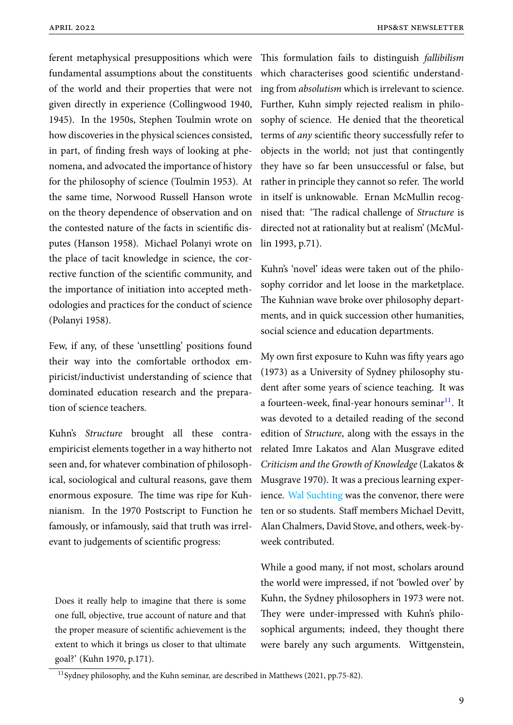ferent metaphysical presuppositions which were This formulation fails to distinguish *fallibilism* fundamental assumptions about the constituents of the world and their properties that were not given directly in experience (Collingwood 1940, 1945). In the 1950s, Stephen Toulmin wrote on how discoveries in the physical sciences consisted, in part, of finding fresh ways of looking at phenomena, and advocated the importance of history for the philosophy of science (Toulmin 1953). At the same time, Norwood Russell Hanson wrote on the theory dependence of observation and on the contested nature of the facts in scientific disputes (Hanson 1958). Michael Polanyi wrote on the place of tacit knowledge in science, the corrective function of the scientific community, and the importance of initiation into accepted methodologies and practices for the conduct of science (Polanyi 1958).

Few, if any, of these 'unsettling' positions found their way into the comfortable orthodox empiricist/inductivist understanding of science that dominated education research and the preparation of science teachers.

Kuhn's *Structure* brought all these contraempiricist elements together in a way hitherto not seen and, for whatever combination of philosophical, sociological and cultural reasons, gave them enormous exposure. The time was ripe for Kuhnianism. In the 1970 Postscript to Function he famously, or infamously, said that truth was irrelevant to judgements of scientific progress:

Does it really help to imagine that there is some one full, objective, true account of nature and that the proper measure of scientific achievement is the extent to which it brings us closer to that ultimate goal?' (Kuhn 1970, p.171).

which characterises good scientific understanding from *absolutism* which is irrelevant to science. Further, Kuhn simply rejected realism in philosophy of science. He denied that the theoretical terms of *any* scientific theory successfully refer to objects in the world; not just that contingently they have so far been unsuccessful or false, but rather in principle they cannot so refer. The world in itself is unknowable. Ernan McMullin recognised that: 'The radical challenge of *Structure* is directed not at rationality but at realism' (McMullin 1993, p.71).

Kuhn's 'novel' ideas were taken out of the philosophy corridor and let loose in the marketplace. The Kuhnian wave broke over philosophy departments, and in quick succession other humanities, social science and education departments.

My own first exposure to Kuhn was fifty years ago (1973) as a University of Sydney philosophy student after some years of science teaching. It was a fourteen-week, final-year honours seminar<sup>11</sup>. It was devoted to a detailed reading of the second edition of *Structure*, along with the essays in the related Imre Lakatos and Alan Musgrave edited *Criticism and the Growth of Knowledge* (Lakatos & Musgrave 1970). It was a precious learning experience. Wal Suchting was the convenor, there were ten or so students. Staff members Michael Devitt, Alan Chalmers, David Stove, and others, week-byweek [contributed.](https://www.hpsst.com/uploads/6/2/9/3/62931075/was_obituary__matthews_.pdf)

While a good many, if not most, scholars around the world were impressed, if not 'bowled over' by Kuhn, the Sydney philosophers in 1973 were not. They were under-impressed with Kuhn's philosophical arguments; indeed, they thought there were barely any such arguments. Wittgenstein,

<sup>11</sup>Sydney philosophy, and the Kuhn seminar, are described in Matthews (2021, pp.75-82).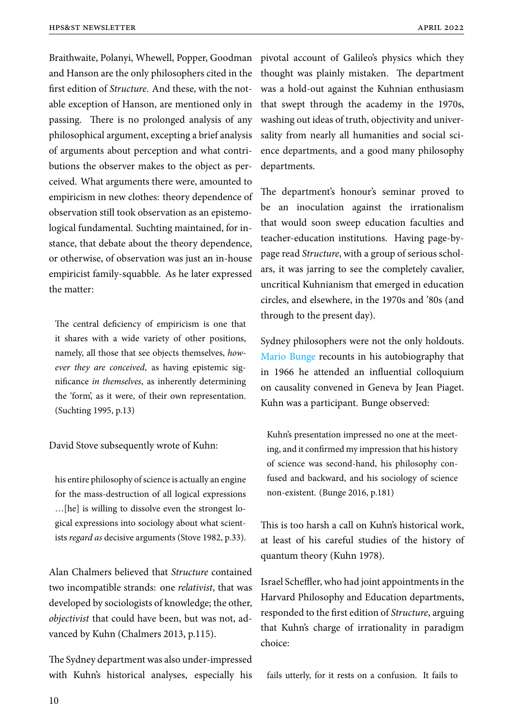Braithwaite, Polanyi, Whewell, Popper, Goodman pivotal account of Galileo's physics which they and Hanson are the only philosophers cited in the first edition of *Structure*. And these, with the notable exception of Hanson, are mentioned only in passing. There is no prolonged analysis of any philosophical argument, excepting a brief analysis of arguments about perception and what contributions the observer makes to the object as perceived. What arguments there were, amounted to empiricism in new clothes: theory dependence of observation still took observation as an epistemological fundamental. Suchting maintained, for instance, that debate about the theory dependence, or otherwise, of observation was just an in-house empiricist family-squabble. As he later expressed the matter:

The central deficiency of empiricism is one that it shares with a wide variety of other positions, namely, all those that see objects themselves, *however they are conceived*, as having epistemic significance *in themselves*, as inherently determining the 'form', as it were, of their own representation. (Suchting 1995, p.13)

David Stove subsequently wrote of Kuhn:

his entire philosophy of science is actually an engine for the mass-destruction of all logical expressions …[he] is willing to dissolve even the strongest logical expressions into sociology about what scientists *regard as* decisive arguments (Stove 1982, p.33).

Alan Chalmers believed that *Structure* contained two incompatible strands: one *relativist*, that was developed by sociologists of knowledge; the other, *objectivist* that could have been, but was not, advanced by Kuhn (Chalmers 2013, p.115).

The Sydney department was also under-impressed with Kuhn's historical analyses, especially his

thought was plainly mistaken. The department was a hold-out against the Kuhnian enthusiasm that swept through the academy in the 1970s, washing out ideas of truth, objectivity and universality from nearly all humanities and social science departments, and a good many philosophy departments.

The department's honour's seminar proved to be an inoculation against the irrationalism that would soon sweep education faculties and teacher-education institutions. Having page-bypage read *Structure*, with a group of serious scholars, it was jarring to see the completely cavalier, uncritical Kuhnianism that emerged in education circles, and elsewhere, in the 1970s and '80s (and through to the present day).

Sydney philosophers were not the only holdouts. Mario Bunge recounts in his autobiography that in 1966 he attended an influential colloquium on causality convened in Geneva by Jean Piaget. [Kuhn was a p](https://www.hpsst.com/uploads/6/2/9/3/62931075/bunge_obituary_news_4.pdf)articipant. Bunge observed:

Kuhn's presentation impressed no one at the meeting, and it confirmed my impression that his history of science was second-hand, his philosophy confused and backward, and his sociology of science non-existent. (Bunge 2016, p.181)

This is too harsh a call on Kuhn's historical work, at least of his careful studies of the history of quantum theory (Kuhn 1978).

Israel Scheffler, who had joint appointments in the Harvard Philosophy and Education departments, responded to the first edition of *Structure*, arguing that Kuhn's charge of irrationality in paradigm choice:

fails utterly, for it rests on a confusion. It fails to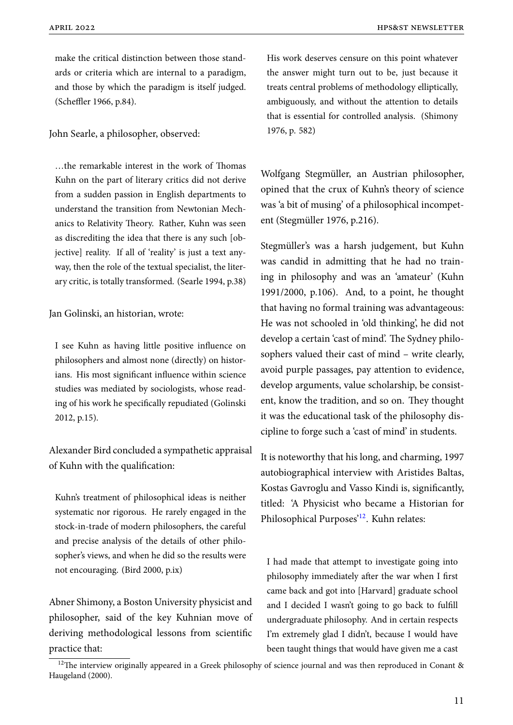make the critical distinction between those standards or criteria which are internal to a paradigm, and those by which the paradigm is itself judged. (Scheffler 1966, p.84).

John Searle, a philosopher, observed:

…the remarkable interest in the work of Thomas Kuhn on the part of literary critics did not derive from a sudden passion in English departments to understand the transition from Newtonian Mechanics to Relativity Theory. Rather, Kuhn was seen as discrediting the idea that there is any such [objective] reality. If all of 'reality' is just a text anyway, then the role of the textual specialist, the literary critic, is totally transformed. (Searle 1994, p.38)

Jan Golinski, an historian, wrote:

I see Kuhn as having little positive influence on philosophers and almost none (directly) on historians. His most significant influence within science studies was mediated by sociologists, whose reading of his work he specifically repudiated (Golinski 2012, p.15).

Alexander Bird concluded a sympathetic appraisal of Kuhn with the qualification:

Kuhn's treatment of philosophical ideas is neither systematic nor rigorous. He rarely engaged in the stock-in-trade of modern philosophers, the careful and precise analysis of the details of other philosopher's views, and when he did so the results were not encouraging. (Bird 2000, p.ix)

Abner Shimony, a Boston University physicist and philosopher, said of the key Kuhnian move of deriving methodological lessons from scientific practice that:

His work deserves censure on this point whatever the answer might turn out to be, just because it treats central problems of methodology elliptically, ambiguously, and without the attention to details that is essential for controlled analysis. (Shimony 1976, p. 582)

Wolfgang Stegmüller, an Austrian philosopher, opined that the crux of Kuhn's theory of science was 'a bit of musing' of a philosophical incompetent (Stegmüller 1976, p.216).

Stegmüller's was a harsh judgement, but Kuhn was candid in admitting that he had no training in philosophy and was an 'amateur' (Kuhn 1991/2000, p.106). And, to a point, he thought that having no formal training was advantageous: He was not schooled in 'old thinking', he did not develop a certain 'cast of mind'. The Sydney philosophers valued their cast of mind – write clearly, avoid purple passages, pay attention to evidence, develop arguments, value scholarship, be consistent, know the tradition, and so on. They thought it was the educational task of the philosophy discipline to forge such a 'cast of mind' in students.

It is noteworthy that his long, and charming, 1997 autobiographical interview with Aristides Baltas, Kostas Gavroglu and Vasso Kindi is, significantly, titled: 'A Physicist who became a Historian for Philosophical Purposes'<sup>12</sup>. Kuhn relates:

I had made that attempt to investigate going into philosophy immediately after the war when I first came back and got into [Harvard] graduate school and I decided I wasn't going to go back to fulfill undergraduate philosophy. And in certain respects I'm extremely glad I didn't, because I would have been taught things that would have given me a cast

 $12$ The interview originally appeared in a Greek philosophy of science journal and was then reproduced in Conant & Haugeland (2000).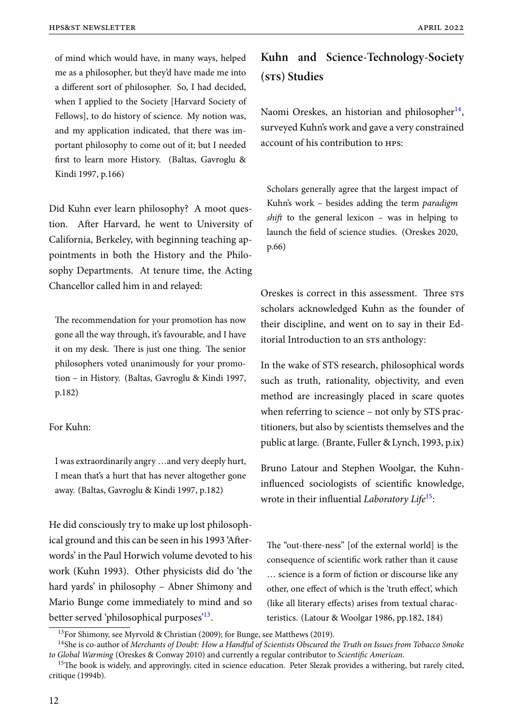of mind which would have, in many ways, helped me as a philosopher, but they'd have made me into a different sort of philosopher. So, I had decided, when I applied to the Society [Harvard Society of Fellows], to do history of science. My notion was, and my application indicated, that there was important philosophy to come out of it; but I needed first to learn more History. (Baltas, Gavroglu & Kindi 1997, p.166)

Did Kuhn ever learn philosophy? A moot question. After Harvard, he went to University of California, Berkeley, with beginning teaching appointments in both the History and the Philosophy Departments. At tenure time, the Acting Chancellor called him in and relayed:

The recommendation for your promotion has now gone all the way through, it's favourable, and I have it on my desk. There is just one thing. The senior philosophers voted unanimously for your promotion – in History. (Baltas, Gavroglu & Kindi 1997, p.182)

#### For Kuhn:

I was extraordinarily angry …and very deeply hurt, I mean that's a hurt that has never altogether gone away. (Baltas, Gavroglu & Kindi 1997, p.182)

He did consciously try to make up lost philosophical ground and this can be seen in his 1993 'Afterwords' in the Paul Horwich volume devoted to his work (Kuhn 1993). Other physicists did do 'the hard yards' in philosophy – Abner Shimony and Mario Bunge come immediately to mind and so better served 'philosophical purposes'<sup>13</sup>.

# **Kuhn and Science-Technology-Society (sts) Studies**

Naomi Oreskes, an historian and philosopher<sup>14</sup>, surveyed Kuhn's work and gave a very constrained account of his contribution to hps:

Scholars generally agree that the largest impact of Kuhn's work – besides adding the term *paradigm shift* to the general lexicon – was in helping to launch the field of science studies. (Oreskes 2020, p.66)

Oreskes is correct in this assessment. Three sts scholars acknowledged Kuhn as the founder of their discipline, and went on to say in their Editorial Introduction to an srs anthology:

In the wake of STS research, philosophical words such as truth, rationality, objectivity, and even method are increasingly placed in scare quotes when referring to science – not only by STS practitioners, but also by scientists themselves and the public at large. (Brante, Fuller & Lynch, 1993, p.ix)

Bruno Latour and Stephen Woolgar, the Kuhninfluenced sociologists of scientific knowledge, wrote in their influential *Laboratory Life*<sup>15</sup>:

The "out-there-ness" [of the external world] is the consequence of scientific work rather than it cause … science is a form of fiction or discourse like any other, one effect of which is the 'truth effect', which (like all literary effects) arises from textual characteristics. (Latour & Woolgar 1986, pp.182, 184)

<sup>&</sup>lt;sup>13</sup>For Shimony, see Myrvold & Christian (2009); for Bunge, see Matthews (2019).

<sup>14</sup>She is co-author of *Merchants of Doubt: How a Handful of Scientists Obscured the Truth on Issues from Tobacco Smoke to Global Warming* (Oreskes & Conway 2010) and currently a regular contributor to *Scientific American*.

 $15$ The book is widely, and approvingly, cited in science education. Peter Slezak provides a withering, but rarely cited, critique (1994b).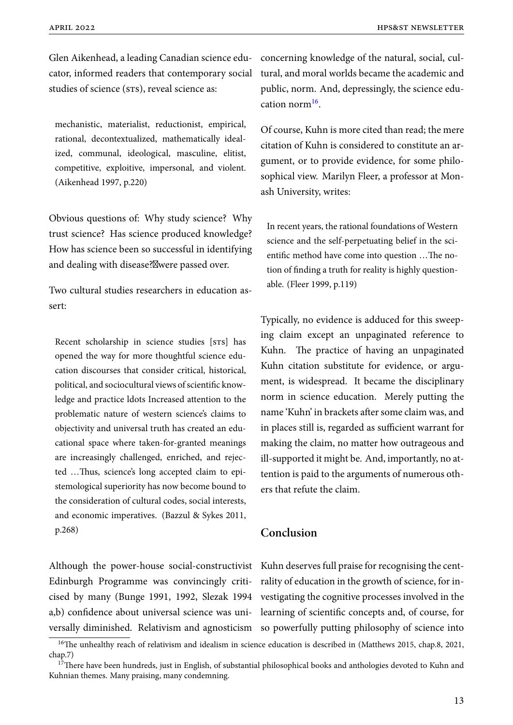Glen Aikenhead, a leading Canadian science edu-concerning knowledge of the natural, social, culcator, informed readers that contemporary social tural, and moral worlds became the academic and studies of science (srs), reveal science as:

mechanistic, materialist, reductionist, empirical, rational, decontextualized, mathematically idealized, communal, ideological, masculine, elitist, competitive, exploitive, impersonal, and violent. (Aikenhead 1997, p.220)

Obvious questions of: Why study science? Why trust science? Has science produced knowledge? How has science been so successful in identifying and dealing with disease?<sup>Mwere</sup> passed over.

Two cultural studies researchers in education assert:

Recent scholarship in science studies [STS] has opened the way for more thoughtful science education discourses that consider critical, historical, political, and sociocultural views of scientific knowledge and practice ldots Increased attention to the problematic nature of western science's claims to objectivity and universal truth has created an educational space where taken-for-granted meanings are increasingly challenged, enriched, and rejected …Thus, science's long accepted claim to epistemological superiority has now become bound to the consideration of cultural codes, social interests, and economic imperatives. (Bazzul & Sykes 2011, p.268)

public, norm. And, depressingly, the science education norm<sup>16</sup>.

Of course, Kuhn is more cited than read; the mere citation of Kuhn is considered to constitute an argument, or to provide evidence, for some philosophical view. Marilyn Fleer, a professor at Monash University, writes:

In recent years, the rational foundations of Western science and the self-perpetuating belief in the scientific method have come into question …The notion of finding a truth for reality is highly questionable. (Fleer 1999, p.119)

Typically, no evidence is adduced for this sweeping claim except an unpaginated reference to Kuhn. The practice of having an unpaginated Kuhn citation substitute for evidence, or argument, is widespread. It became the disciplinary norm in science education. Merely putting the name 'Kuhn' in brackets after some claim was, and in places still is, regarded as sufficient warrant for making the claim, no matter how outrageous and ill-supported it might be. And, importantly, no attention is paid to the arguments of numerous others that refute the claim.

## **Conclusion**

Although the power-house social-constructivist Kuhn deserves full praise for recognising the cent-Edinburgh Programme was convincingly criti-rality of education in the growth of science, for incised by many (Bunge 1991, 1992, Slezak 1994 vestigating the cognitive processes involved in the a,b) confidence about universal science was uni-learning of scientific concepts and, of course, for versally diminished. Relativism and agnosticism so powerfully putting philosophy of science into

<sup>&</sup>lt;sup>16</sup>The unhealthy reach of relativism and idealism in science education is described in (Matthews 2015, chap.8, 2021, chap.7)

<sup>&</sup>lt;sup>17</sup>There have been hundreds, just in English, of substantial philosophical books and anthologies devoted to Kuhn and Kuhnian themes. Many praising, many condemning.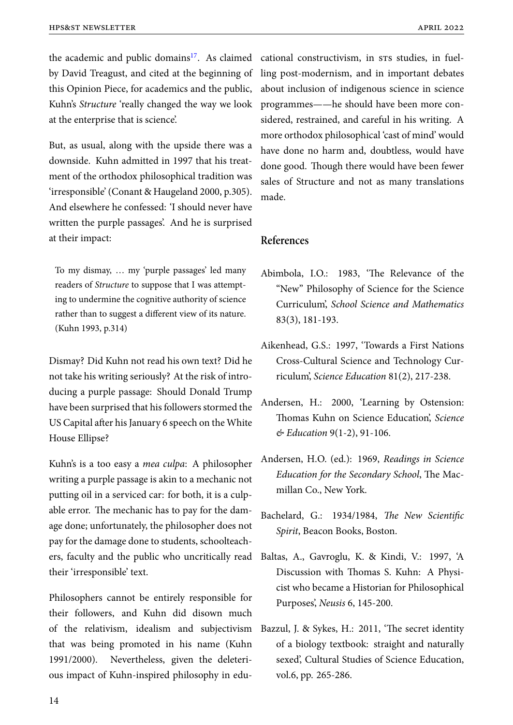the academic and public domains<sup>17</sup>. As claimed cational constructivism, in srs studies, in fuelby David Treagust, and cited at the beginning of this Opinion Piece, for academics and the public, Kuhn's *Structure* 'really changed the way we look at the enterprise that is science'.

But, as usual, along with the upside there was a downside. Kuhn admitted in 1997 that his treatment of the orthodox philosophical tradition was 'irresponsible' (Conant & Haugeland 2000, p.305). And elsewhere he confessed: 'I should never have written the purple passages'. And he is surprised at their impact:

To my dismay, … my 'purple passages' led many readers of *Structure* to suppose that I was attempting to undermine the cognitive authority of science rather than to suggest a different view of its nature. (Kuhn 1993, p.314)

Dismay? Did Kuhn not read his own text? Did he not take his writing seriously? At the risk of introducing a purple passage: Should Donald Trump have been surprised that his followers stormed the US Capital after his January 6 speech on the White House Ellipse?

Kuhn's is a too easy a *mea culpa*: A philosopher writing a purple passage is akin to a mechanic not putting oil in a serviced car: for both, it is a culpable error. The mechanic has to pay for the damage done; unfortunately, the philosopher does not pay for the damage done to students, schoolteachers, faculty and the public who uncritically read their 'irresponsible' text.

Philosophers cannot be entirely responsible for their followers, and Kuhn did disown much of the relativism, idealism and subjectivism that was being promoted in his name (Kuhn 1991/2000). Nevertheless, given the deleterious impact of Kuhn-inspired philosophy in edu-

ling post-modernism, and in important debates about inclusion of indigenous science in science programmes——he should have been more considered, restrained, and careful in his writing. A more orthodox philosophical 'cast of mind' would have done no harm and, doubtless, would have done good. Though there would have been fewer sales of Structure and not as many translations made.

### **References**

- Abimbola, I.O.: 1983, 'The Relevance of the "New" Philosophy of Science for the Science Curriculum', *School Science and Mathematics* 83(3), 181-193.
- Aikenhead, G.S.: 1997, 'Towards a First Nations Cross-Cultural Science and Technology Curriculum', *Science Education* 81(2), 217-238.
- Andersen, H.: 2000, 'Learning by Ostension: Thomas Kuhn on Science Education', *Science & Education* 9(1-2), 91-106.
- Andersen, H.O. (ed.): 1969, *Readings in Science Education for the Secondary School*, The Macmillan Co., New York.
- Bachelard, G.: 1934/1984, *The New Scientific Spirit*, Beacon Books, Boston.
- Baltas, A., Gavroglu, K. & Kindi, V.: 1997, 'A Discussion with Thomas S. Kuhn: A Physicist who became a Historian for Philosophical Purposes', *Neusis* 6, 145-200.
- Bazzul, J. & Sykes, H.: 2011, 'The secret identity of a biology textbook: straight and naturally sexed', Cultural Studies of Science Education, vol.6, pp. 265-286.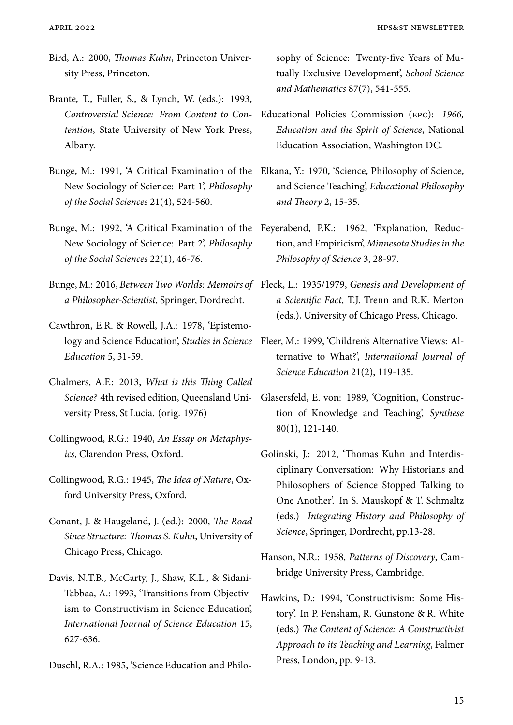- Bird, A.: 2000, *Thomas Kuhn*, Princeton University Press, Princeton.
- Brante, T., Fuller, S., & Lynch, W. (eds.): 1993, *Controversial Science: From Content to Contention*, State University of New York Press, Albany.
- Bunge, M.: 1991, 'A Critical Examination of the New Sociology of Science: Part 1', *Philosophy of the Social Sciences* 21(4), 524-560.
- New Sociology of Science: Part 2', *Philosophy of the Social Sciences* 22(1), 46-76.
- Bunge, M.: 2016, *Between Two Worlds: Memoirs of* Fleck, L.: 1935/1979, *Genesis and Development of a Philosopher-Scientist*, Springer, Dordrecht.
- Cawthron, E.R. & Rowell, J.A.: 1978, 'Epistemology and Science Education', *Studies in Science Education* 5, 31-59.
- Chalmers, A.F.: 2013, *What is this Thing Called Science?* 4th revised edition, Queensland University Press, St Lucia. (orig. 1976)
- Collingwood, R.G.: 1940, *An Essay on Metaphysics*, Clarendon Press, Oxford.
- Collingwood, R.G.: 1945, *The Idea of Nature*, Oxford University Press, Oxford.
- Conant, J. & Haugeland, J. (ed.): 2000, *The Road Since Structure: Thomas S. Kuhn*, University of Chicago Press, Chicago.
- Davis, N.T.B., McCarty, J., Shaw, K.L., & Sidani-Tabbaa, A.: 1993, 'Transitions from Objectivism to Constructivism in Science Education', *International Journal of Science Education* 15, 627-636.

Duschl, R.A.: 1985, 'Science Education and Philo-

sophy of Science: Twenty-five Years of Mutually Exclusive Development', *School Science and Mathematics* 87(7), 541-555.

- Educational Policies Commission (epc): *1966, Education and the Spirit of Science*, National Education Association, Washington DC.
- Elkana, Y.: 1970, 'Science, Philosophy of Science, and Science Teaching', *Educational Philosophy and Theory* 2, 15-35.
- Bunge, M.: 1992, 'A Critical Examination of the Feyerabend, P.K.: 1962, 'Explanation, Reduction, and Empiricism', *Minnesota Studies in the Philosophy of Science* 3, 28-97.
	- *a Scientific Fact*, T.J. Trenn and R.K. Merton (eds.), University of Chicago Press, Chicago.
	- Fleer, M.: 1999, 'Children's Alternative Views: Alternative to What?', *International Journal of Science Education* 21(2), 119-135.
	- Glasersfeld, E. von: 1989, 'Cognition, Construction of Knowledge and Teaching', *Synthese* 80(1), 121-140.
	- Golinski, J.: 2012, 'Thomas Kuhn and Interdisciplinary Conversation: Why Historians and Philosophers of Science Stopped Talking to One Another'. In S. Mauskopf & T. Schmaltz (eds.) *Integrating History and Philosophy of Science*, Springer, Dordrecht, pp.13-28.
	- Hanson, N.R.: 1958, *Patterns of Discovery*, Cambridge University Press, Cambridge.
	- Hawkins, D.: 1994, 'Constructivism: Some History'. In P. Fensham, R. Gunstone & R. White (eds.) *The Content of Science: A Constructivist Approach to its Teaching and Learning*, Falmer Press, London, pp. 9-13.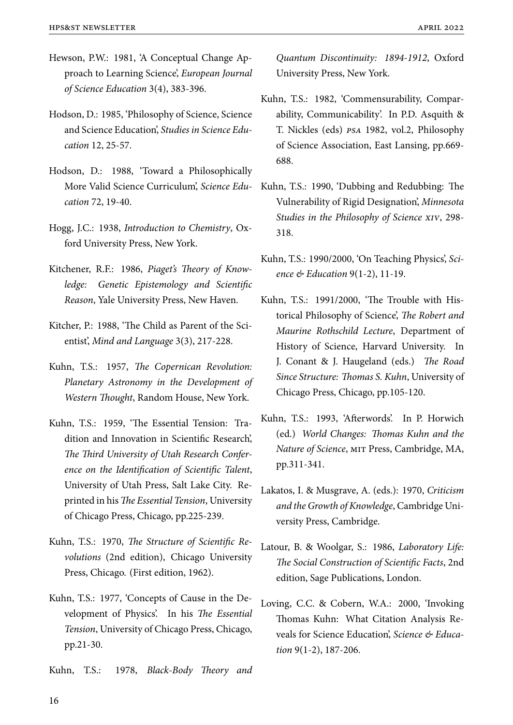- Hewson, P.W.: 1981, 'A Conceptual Change Approach to Learning Science', *European Journal of Science Education* 3(4), 383-396.
- Hodson, D.: 1985, 'Philosophy of Science, Science and Science Education', *Studies in Science Education* 12, 25-57.
- Hodson, D.: 1988, 'Toward a Philosophically More Valid Science Curriculum', *Science Education* 72, 19-40.
- Hogg, J.C.: 1938, *Introduction to Chemistry*, Oxford University Press, New York.
- Kitchener, R.F.: 1986, *Piaget's Theory of Knowledge: Genetic Epistemology and Scientific Reason*, Yale University Press, New Haven.
- Kitcher, P.: 1988, 'The Child as Parent of the Scientist', *Mind and Language* 3(3), 217-228.
- Kuhn, T.S.: 1957, *The Copernican Revolution: Planetary Astronomy in the Development of Western Thought*, Random House, New York.
- Kuhn, T.S.: 1959, 'The Essential Tension: Tradition and Innovation in Scientific Research', *The Third University of Utah Research Conference on the Identification of Scientific Talent*, University of Utah Press, Salt Lake City. Reprinted in his *The Essential Tension*, University of Chicago Press, Chicago, pp.225-239.
- Kuhn, T.S.: 1970, *The Structure of Scientific Revolutions* (2nd edition), Chicago University Press, Chicago. (First edition, 1962).
- Kuhn, T.S.: 1977, 'Concepts of Cause in the Development of Physics'. In his *The Essential Tension*, University of Chicago Press, Chicago, pp.21-30.

Kuhn, T.S.: 1978, *Black-Body Theory and*

*Quantum Discontinuity: 1894-1912*, Oxford University Press, New York.

- Kuhn, T.S.: 1982, 'Commensurability, Comparability, Communicability'. In P.D. Asquith & T. Nickles (eds) *psa* 1982, vol.2, Philosophy of Science Association, East Lansing, pp.669- 688.
- Kuhn, T.S.: 1990, 'Dubbing and Redubbing: The Vulnerability of Rigid Designation', *Minnesota Studies in the Philosophy of Science xiv*, 298- 318.
- Kuhn, T.S.: 1990/2000, 'On Teaching Physics', *Science & Education* 9(1-2), 11-19.
- Kuhn, T.S.: 1991/2000, 'The Trouble with Historical Philosophy of Science', *The Robert and Maurine Rothschild Lecture*, Department of History of Science, Harvard University. In J. Conant & J. Haugeland (eds.) *The Road Since Structure: Thomas S. Kuhn*, University of Chicago Press, Chicago, pp.105-120.
- Kuhn, T.S.: 1993, 'Afterwords'. In P. Horwich (ed.) *World Changes: Thomas Kuhn and the Nature of Science*, mit Press, Cambridge, MA, pp.311-341.
- Lakatos, I. & Musgrave, A. (eds.): 1970, *Criticism and the Growth of Knowledge*, Cambridge University Press, Cambridge.
- Latour, B. & Woolgar, S.: 1986, *Laboratory Life: The Social Construction of Scientific Facts*, 2nd edition, Sage Publications, London.
- Loving, C.C. & Cobern, W.A.: 2000, 'Invoking Thomas Kuhn: What Citation Analysis Reveals for Science Education', *Science & Education* 9(1-2), 187-206.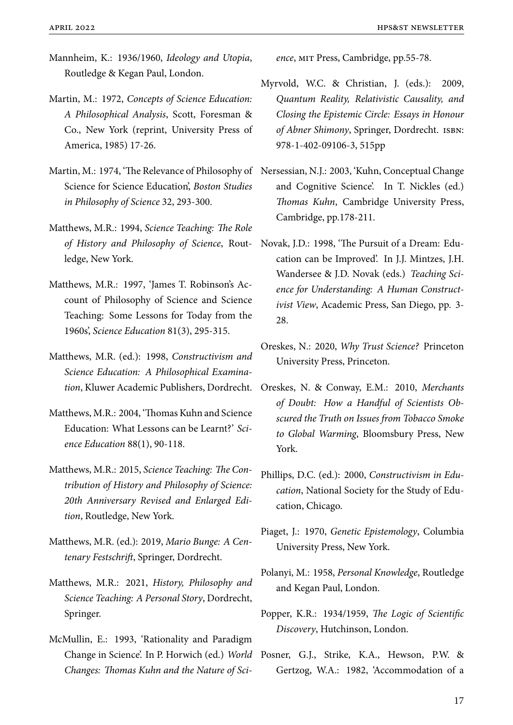- Mannheim, K.: 1936/1960, *Ideology and Utopia*, Routledge & Kegan Paul, London.
- Martin, M.: 1972, *Concepts of Science Education: A Philosophical Analysis*, Scott, Foresman & Co., New York (reprint, University Press of America, 1985) 17-26.
- Martin, M.: 1974, 'The Relevance of Philosophy of Nersessian, N.J.: 2003, 'Kuhn, Conceptual Change Science for Science Education', *Boston Studies in Philosophy of Science* 32, 293-300.
- Matthews, M.R.: 1994, *Science Teaching: The Role of History and Philosophy of Science*, Routledge, New York.
- Matthews, M.R.: 1997, 'James T. Robinson's Account of Philosophy of Science and Science Teaching: Some Lessons for Today from the 1960s', *Science Education* 81(3), 295-315.
- Matthews, M.R. (ed.): 1998, *Constructivism and Science Education: A Philosophical Examination*, Kluwer Academic Publishers, Dordrecht.
- Matthews, M.R.: 2004, 'Thomas Kuhn and Science Education: What Lessons can be Learnt?' *Science Education* 88(1), 90-118.
- Matthews, M.R.: 2015, *Science Teaching: The Contribution of History and Philosophy of Science: 20th Anniversary Revised and Enlarged Edition*, Routledge, New York.
- Matthews, M.R. (ed.): 2019, *Mario Bunge: A Centenary Festschrift*, Springer, Dordrecht.
- Matthews, M.R.: 2021, *History, Philosophy and Science Teaching: A Personal Story*, Dordrecht, Springer.
- McMullin, E.: 1993, 'Rationality and Paradigm Change in Science'. In P. Horwich (ed.) *World Changes: Thomas Kuhn and the Nature of Sci-*

*ence*, mit Press, Cambridge, pp.55-78.

- Myrvold, W.C. & Christian, J. (eds.): 2009, *Quantum Reality, Relativistic Causality, and Closing the Epistemic Circle: Essays in Honour of Abner Shimony*, Springer, Dordrecht. isbn: 978-1-402-09106-3, 515pp
- and Cognitive Science'. In T. Nickles (ed.) *Thomas Kuhn*, Cambridge University Press, Cambridge, pp.178-211.
- Novak, J.D.: 1998, 'The Pursuit of a Dream: Education can be Improved'. In J.J. Mintzes, J.H. Wandersee & J.D. Novak (eds.) *Teaching Science for Understanding: A Human Constructivist View*, Academic Press, San Diego, pp. 3- 28.
- Oreskes, N.: 2020, *Why Trust Science?* Princeton University Press, Princeton.
- Oreskes, N. & Conway, E.M.: 2010, *Merchants of Doubt: How a Handful of Scientists Obscured the Truth on Issues from Tobacco Smoke to Global Warming*, Bloomsbury Press, New York.
- Phillips, D.C. (ed.): 2000, *Constructivism in Education*, National Society for the Study of Education, Chicago.
- Piaget, J.: 1970, *Genetic Epistemology*, Columbia University Press, New York.
- Polanyi, M.: 1958, *Personal Knowledge*, Routledge and Kegan Paul, London.
- Popper, K.R.: 1934/1959, *The Logic of Scientific Discovery*, Hutchinson, London.
- Posner, G.J., Strike, K.A., Hewson, P.W. & Gertzog, W.A.: 1982, 'Accommodation of a